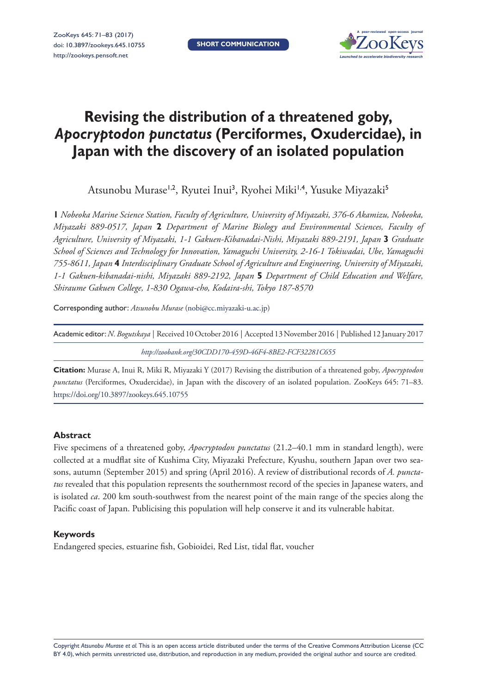

# **Revising the distribution of a threatened goby,**  *Apocryptodon punctatus* **(Perciformes, Oxudercidae), in Japan with the discovery of an isolated population**

Atsunobu Murase<sup>1,2</sup>, Ryutei Inui<sup>3</sup>, Ryohei Miki<sup>1,4</sup>, Yusuke Miyazaki<sup>5</sup>

**1** *Nobeoka Marine Science Station, Faculty of Agriculture, University of Miyazaki, 376-6 Akamizu, Nobeoka, Miyazaki 889-0517, Japan* **2** *Department of Marine Biology and Environmental Sciences, Faculty of Agriculture, University of Miyazaki, 1-1 Gakuen-Kibanadai-Nishi, Miyazaki 889-2191, Japan* **3** *Graduate School of Sciences and Technology for Innovation, Yamaguchi University, 2-16-1 Tokiwadai, Ube, Yamaguchi 755-8611, Japan* **4** *Interdisciplinary Graduate School of Agriculture and Engineering, University of Miyazaki, 1-1 Gakuen-kibanadai-nishi, Miyazaki 889-2192, Japan* **5** *Department of Child Education and Welfare, Shiraume Gakuen College, 1-830 Ogawa-cho, Kodaira-shi, Tokyo 187-8570*

Corresponding author: *Atsunobu Murase* [\(nobi@cc.miyazaki-u.ac.jp](mailto:nobi@cc.miyazaki-u.ac.jp))

| Academic editor: N. Bogutskaya   Received 10 October 2016   Accepted 13 November 2016   Published 12 January 2017 |
|-------------------------------------------------------------------------------------------------------------------|
| http://zoobank.org/30CDD170-459D-46F4-8BE2-FCF32281C655                                                           |

**Citation:** Murase A, Inui R, Miki R, Miyazaki Y (2017) Revising the distribution of a threatened goby, *Apocryptodon punctatus* (Perciformes, Oxudercidae), in Japan with the discovery of an isolated population. ZooKeys 645: 71–83. <https://doi.org/10.3897/zookeys.645.10755>

# **Abstract**

Five specimens of a threatened goby, *Apocryptodon punctatus* (21.2–40.1 mm in standard length), were collected at a mudflat site of Kushima City, Miyazaki Prefecture, Kyushu, southern Japan over two seasons, autumn (September 2015) and spring (April 2016). A review of distributional records of *A. punctatus* revealed that this population represents the southernmost record of the species in Japanese waters, and is isolated *ca*. 200 km south-southwest from the nearest point of the main range of the species along the Pacific coast of Japan. Publicising this population will help conserve it and its vulnerable habitat.

# **Keywords**

Endangered species, estuarine fish, Gobioidei, Red List, tidal flat, voucher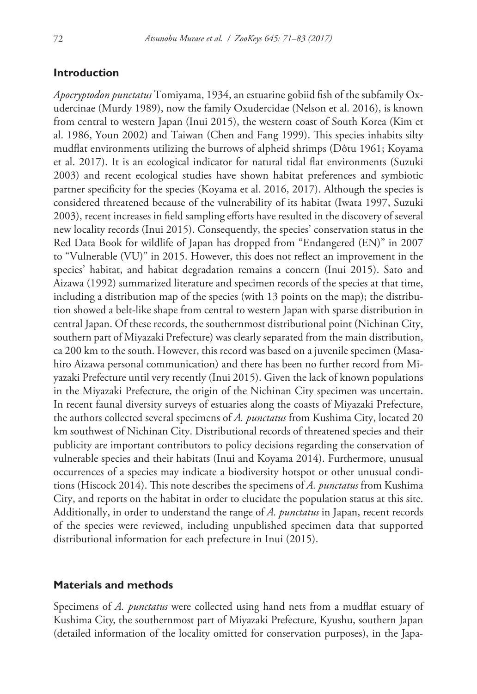# **Introduction**

*Apocryptodon punctatus* Tomiyama, 1934, an estuarine gobiid fish of the subfamily Oxudercinae (Murdy 1989), now the family Oxudercidae (Nelson et al. 2016), is known from central to western Japan (Inui 2015), the western coast of South Korea (Kim et al. 1986, Youn 2002) and Taiwan (Chen and Fang 1999). This species inhabits silty mudflat environments utilizing the burrows of alpheid shrimps (Dôtu 1961; Koyama et al. 2017). It is an ecological indicator for natural tidal flat environments (Suzuki 2003) and recent ecological studies have shown habitat preferences and symbiotic partner specificity for the species (Koyama et al. 2016, 2017). Although the species is considered threatened because of the vulnerability of its habitat (Iwata 1997, Suzuki 2003), recent increases in field sampling efforts have resulted in the discovery of several new locality records (Inui 2015). Consequently, the species' conservation status in the Red Data Book for wildlife of Japan has dropped from "Endangered (EN)" in 2007 to "Vulnerable (VU)" in 2015. However, this does not reflect an improvement in the species' habitat, and habitat degradation remains a concern (Inui 2015). Sato and Aizawa (1992) summarized literature and specimen records of the species at that time, including a distribution map of the species (with 13 points on the map); the distribution showed a belt-like shape from central to western Japan with sparse distribution in central Japan. Of these records, the southernmost distributional point (Nichinan City, southern part of Miyazaki Prefecture) was clearly separated from the main distribution, ca 200 km to the south. However, this record was based on a juvenile specimen (Masahiro Aizawa personal communication) and there has been no further record from Miyazaki Prefecture until very recently (Inui 2015). Given the lack of known populations in the Miyazaki Prefecture, the origin of the Nichinan City specimen was uncertain. In recent faunal diversity surveys of estuaries along the coasts of Miyazaki Prefecture, the authors collected several specimens of *A. punctatus* from Kushima City, located 20 km southwest of Nichinan City. Distributional records of threatened species and their publicity are important contributors to policy decisions regarding the conservation of vulnerable species and their habitats (Inui and Koyama 2014). Furthermore, unusual occurrences of a species may indicate a biodiversity hotspot or other unusual conditions (Hiscock 2014). This note describes the specimens of *A. punctatus* from Kushima City, and reports on the habitat in order to elucidate the population status at this site. Additionally, in order to understand the range of *A. punctatus* in Japan, recent records of the species were reviewed, including unpublished specimen data that supported distributional information for each prefecture in Inui (2015).

#### **Materials and methods**

Specimens of *A. punctatus* were collected using hand nets from a mudflat estuary of Kushima City, the southernmost part of Miyazaki Prefecture, Kyushu, southern Japan (detailed information of the locality omitted for conservation purposes), in the Japa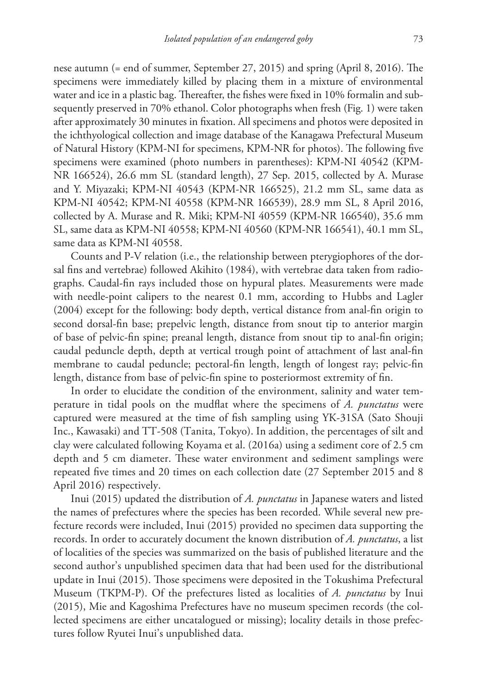nese autumn (= end of summer, September 27, 2015) and spring (April 8, 2016). The specimens were immediately killed by placing them in a mixture of environmental water and ice in a plastic bag. Thereafter, the fishes were fixed in 10% formalin and subsequently preserved in 70% ethanol. Color photographs when fresh (Fig. 1) were taken after approximately 30 minutes in fixation. All specimens and photos were deposited in the ichthyological collection and image database of the Kanagawa Prefectural Museum of Natural History (KPM-NI for specimens, KPM-NR for photos). The following five specimens were examined (photo numbers in parentheses): KPM-NI 40542 (KPM-NR 166524), 26.6 mm SL (standard length), 27 Sep. 2015, collected by A. Murase and Y. Miyazaki; KPM-NI 40543 (KPM-NR 166525), 21.2 mm SL, same data as KPM-NI 40542; KPM-NI 40558 (KPM-NR 166539), 28.9 mm SL, 8 April 2016, collected by A. Murase and R. Miki; KPM-NI 40559 (KPM-NR 166540), 35.6 mm SL, same data as KPM-NI 40558; KPM-NI 40560 (KPM-NR 166541), 40.1 mm SL, same data as KPM-NI 40558.

Counts and P-V relation (i.e., the relationship between pterygiophores of the dorsal fins and vertebrae) followed Akihito (1984), with vertebrae data taken from radiographs. Caudal-fin rays included those on hypural plates. Measurements were made with needle-point calipers to the nearest 0.1 mm, according to Hubbs and Lagler (2004) except for the following: body depth, vertical distance from anal-fin origin to second dorsal-fin base; prepelvic length, distance from snout tip to anterior margin of base of pelvic-fin spine; preanal length, distance from snout tip to anal-fin origin; caudal peduncle depth, depth at vertical trough point of attachment of last anal-fin membrane to caudal peduncle; pectoral-fin length, length of longest ray; pelvic-fin length, distance from base of pelvic-fin spine to posteriormost extremity of fin.

In order to elucidate the condition of the environment, salinity and water temperature in tidal pools on the mudflat where the specimens of *A. punctatus* were captured were measured at the time of fish sampling using YK-31SA (Sato Shouji Inc., Kawasaki) and TT-508 (Tanita, Tokyo). In addition, the percentages of silt and clay were calculated following Koyama et al. (2016a) using a sediment core of 2.5 cm depth and 5 cm diameter. These water environment and sediment samplings were repeated five times and 20 times on each collection date (27 September 2015 and 8 April 2016) respectively.

Inui (2015) updated the distribution of *A. punctatus* in Japanese waters and listed the names of prefectures where the species has been recorded. While several new prefecture records were included, Inui (2015) provided no specimen data supporting the records. In order to accurately document the known distribution of *A. punctatus*, a list of localities of the species was summarized on the basis of published literature and the second author's unpublished specimen data that had been used for the distributional update in Inui (2015). Those specimens were deposited in the Tokushima Prefectural Museum (TKPM-P). Of the prefectures listed as localities of *A. punctatus* by Inui (2015), Mie and Kagoshima Prefectures have no museum specimen records (the collected specimens are either uncatalogued or missing); locality details in those prefectures follow Ryutei Inui's unpublished data.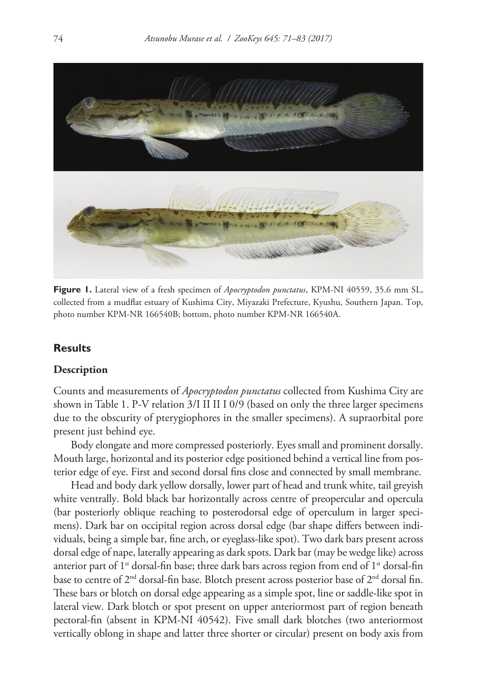

**Figure 1.** Lateral view of a fresh specimen of *Apocryptodon punctatus*, KPM-NI 40559, 35.6 mm SL, collected from a mudflat estuary of Kushima City, Miyazaki Prefecture, Kyushu, Southern Japan. Top, photo number KPM-NR 166540B; bottom, photo number KPM-NR 166540A.

## **Results**

#### **Description**

Counts and measurements of *Apocryptodon punctatus* collected from Kushima City are shown in Table 1. P-V relation 3/I II II I 0/9 (based on only the three larger specimens due to the obscurity of pterygiophores in the smaller specimens). A supraorbital pore present just behind eye.

Body elongate and more compressed posteriorly. Eyes small and prominent dorsally. Mouth large, horizontal and its posterior edge positioned behind a vertical line from posterior edge of eye. First and second dorsal fins close and connected by small membrane.

Head and body dark yellow dorsally, lower part of head and trunk white, tail greyish white ventrally. Bold black bar horizontally across centre of preopercular and opercula (bar posteriorly oblique reaching to posterodorsal edge of operculum in larger specimens). Dark bar on occipital region across dorsal edge (bar shape differs between individuals, being a simple bar, fine arch, or eyeglass-like spot). Two dark bars present across dorsal edge of nape, laterally appearing as dark spots. Dark bar (may be wedge like) across anterior part of  $1<sup>st</sup>$  dorsal-fin base; three dark bars across region from end of  $1<sup>st</sup>$  dorsal-fin base to centre of  $2<sup>nd</sup>$  dorsal-fin base. Blotch present across posterior base of  $2<sup>nd</sup>$  dorsal fin. These bars or blotch on dorsal edge appearing as a simple spot, line or saddle-like spot in lateral view. Dark blotch or spot present on upper anteriormost part of region beneath pectoral-fin (absent in KPM-NI 40542). Five small dark blotches (two anteriormost vertically oblong in shape and latter three shorter or circular) present on body axis from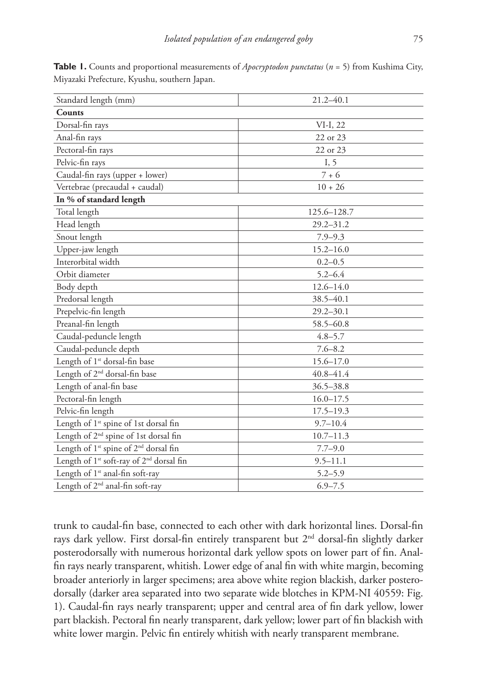| Standard length (mm)                                             | $21.2 - 40.1$ |
|------------------------------------------------------------------|---------------|
| <b>Counts</b>                                                    |               |
| Dorsal-fin rays                                                  | $VI-I, 22$    |
| Anal-fin rays                                                    | 22 or 23      |
| Pectoral-fin rays                                                | 22 or 23      |
| Pelvic-fin rays                                                  | I, 5          |
| Caudal-fin rays (upper + lower)                                  | $7 + 6$       |
| Vertebrae (precaudal + caudal)                                   | $10 + 26$     |
| In % of standard length                                          |               |
| Total length                                                     | 125.6-128.7   |
| Head length                                                      | $29.2 - 31.2$ |
| Snout length                                                     | $7.9 - 9.3$   |
| Upper-jaw length                                                 | $15.2 - 16.0$ |
| Interorbital width                                               | $0.2 - 0.5$   |
| Orbit diameter                                                   | $5.2 - 6.4$   |
| Body depth                                                       | $12.6 - 14.0$ |
| Predorsal length                                                 | 38.5-40.1     |
| Prepelvic-fin length                                             | $29.2 - 30.1$ |
| Preanal-fin length                                               | $58.5 - 60.8$ |
| Caudal-peduncle length                                           | $4.8 - 5.7$   |
| Caudal-peduncle depth                                            | $7.6 - 8.2$   |
| Length of 1 <sup>st</sup> dorsal-fin base                        | 15.6-17.0     |
| Length of 2 <sup>nd</sup> dorsal-fin base                        | $40.8 - 41.4$ |
| Length of anal-fin base                                          | $36.5 - 38.8$ |
| Pectoral-fin length                                              | $16.0 - 17.5$ |
| Pelvic-fin length                                                | $17.5 - 19.3$ |
| Length of 1 <sup>st</sup> spine of 1st dorsal fin                | $9.7 - 10.4$  |
| Length of 2 <sup>nd</sup> spine of 1st dorsal fin                | $10.7 - 11.3$ |
| Length of 1 <sup>st</sup> spine of 2 <sup>nd</sup> dorsal fin    | $7.7 - 9.0$   |
| Length of 1 <sup>st</sup> soft-ray of 2 <sup>nd</sup> dorsal fin | $9.5 - 11.1$  |
| Length of 1 <sup>st</sup> anal-fin soft-ray                      | $5.2 - 5.9$   |
| Length of 2 <sup>nd</sup> anal-fin soft-ray                      | $6.9 - 7.5$   |

**Table 1.** Counts and proportional measurements of *Apocryptodon punctatus* (*n* = 5) from Kushima City, Miyazaki Prefecture, Kyushu, southern Japan.

trunk to caudal-fin base, connected to each other with dark horizontal lines. Dorsal-fin rays dark yellow. First dorsal-fin entirely transparent but 2nd dorsal-fin slightly darker posterodorsally with numerous horizontal dark yellow spots on lower part of fin. Analfin rays nearly transparent, whitish. Lower edge of anal fin with white margin, becoming broader anteriorly in larger specimens; area above white region blackish, darker posterodorsally (darker area separated into two separate wide blotches in KPM-NI 40559: Fig. 1). Caudal-fin rays nearly transparent; upper and central area of fin dark yellow, lower part blackish. Pectoral fin nearly transparent, dark yellow; lower part of fin blackish with white lower margin. Pelvic fin entirely whitish with nearly transparent membrane.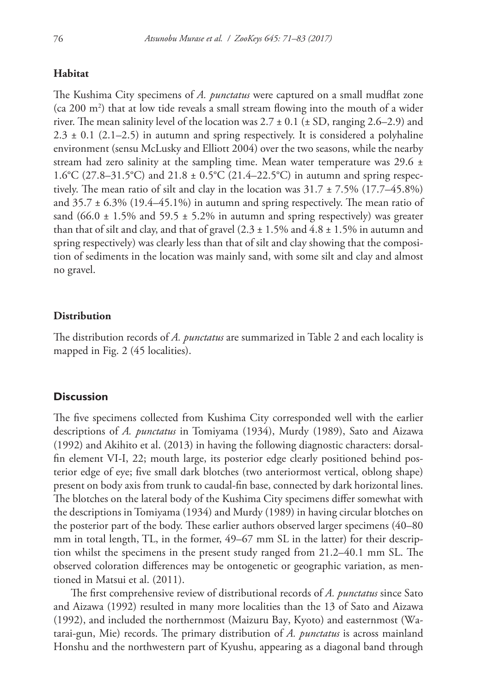# **Habitat**

The Kushima City specimens of *A. punctatus* were captured on a small mudflat zone  $(ca 200 m<sup>2</sup>)$  that at low tide reveals a small stream flowing into the mouth of a wider river. The mean salinity level of the location was  $2.7 \pm 0.1$  ( $\pm$  SD, ranging 2.6–2.9) and  $2.3 \pm 0.1$  (2.1–2.5) in autumn and spring respectively. It is considered a polyhaline environment (sensu McLusky and Elliott 2004) over the two seasons, while the nearby stream had zero salinity at the sampling time. Mean water temperature was 29.6  $\pm$ 1.6°C (27.8–31.5°C) and 21.8 ± 0.5°C (21.4–22.5°C) in autumn and spring respectively. The mean ratio of silt and clay in the location was  $31.7 \pm 7.5\%$  (17.7–45.8%) and  $35.7 \pm 6.3\%$  (19.4–45.1%) in autumn and spring respectively. The mean ratio of sand (66.0  $\pm$  1.5% and 59.5  $\pm$  5.2% in autumn and spring respectively) was greater than that of silt and clay, and that of gravel  $(2.3 \pm 1.5\%$  and  $4.8 \pm 1.5\%$  in autumn and spring respectively) was clearly less than that of silt and clay showing that the composition of sediments in the location was mainly sand, with some silt and clay and almost no gravel.

## **Distribution**

The distribution records of *A. punctatus* are summarized in Table 2 and each locality is mapped in Fig. 2 (45 localities).

# **Discussion**

The five specimens collected from Kushima City corresponded well with the earlier descriptions of *A. punctatus* in Tomiyama (1934), Murdy (1989), Sato and Aizawa (1992) and Akihito et al. (2013) in having the following diagnostic characters: dorsalfin element VI-I, 22; mouth large, its posterior edge clearly positioned behind posterior edge of eye; five small dark blotches (two anteriormost vertical, oblong shape) present on body axis from trunk to caudal-fin base, connected by dark horizontal lines. The blotches on the lateral body of the Kushima City specimens differ somewhat with the descriptions in Tomiyama (1934) and Murdy (1989) in having circular blotches on the posterior part of the body. These earlier authors observed larger specimens (40–80 mm in total length, TL, in the former, 49–67 mm SL in the latter) for their description whilst the specimens in the present study ranged from 21.2–40.1 mm SL. The observed coloration differences may be ontogenetic or geographic variation, as mentioned in Matsui et al. (2011).

The first comprehensive review of distributional records of *A. punctatus* since Sato and Aizawa (1992) resulted in many more localities than the 13 of Sato and Aizawa (1992), and included the northernmost (Maizuru Bay, Kyoto) and easternmost (Watarai-gun, Mie) records. The primary distribution of *A. punctatus* is across mainland Honshu and the northwestern part of Kyushu, appearing as a diagonal band through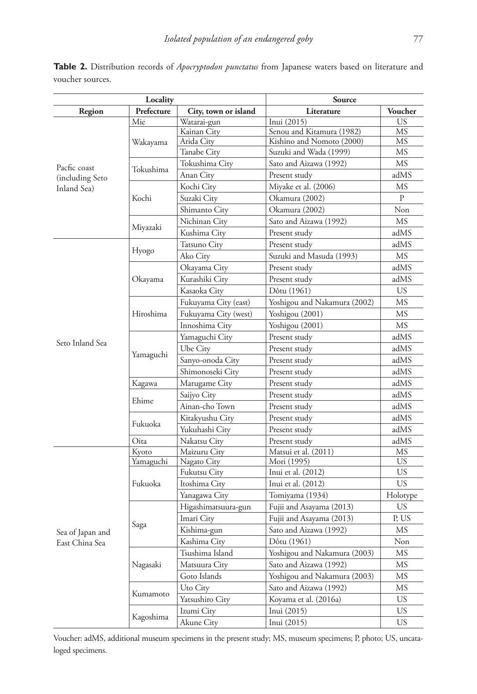| Locality                                       |               | Source                       |                                       |              |
|------------------------------------------------|---------------|------------------------------|---------------------------------------|--------------|
| Region                                         | Prefecture    | City, town or island         | Literature                            | Voucher      |
| Pacfic coast<br>(including Seto<br>Inland Sea) | Mie           | Watarai-gun                  | Inui (2015)                           | <b>US</b>    |
|                                                |               | Kainan City                  | Senou and Kitamura (1982)             | MS           |
|                                                | Wakayama      | Arida City                   | Kishino and Nomoto (2000)             | MS           |
|                                                |               | <b>Tanabe City</b>           | Suzuki and Wada (1999)                | <b>MS</b>    |
|                                                | Tokushima     | Tokushima City               | Sato and Aizawa (1992)                | MS           |
|                                                |               | Anan City                    | Present study                         | adMS         |
|                                                |               | Kochi City                   | Miyake et al. (2006)                  | MS           |
|                                                | Kochi         | Suzaki City                  | Okamura (2002)                        | $\mathbf{P}$ |
|                                                |               | Shimanto City                | Okamura (2002)                        | Non          |
|                                                |               | Nichinan City                | Sato and Aizawa (1992)                | MS           |
|                                                | Miyazaki      | Kushima City                 | Present study                         | adMS         |
|                                                |               | Tatsuno City                 | Present study                         | adMS         |
|                                                | Hyogo         | Ako City                     | Suzuki and Masuda (1993)              | MS           |
|                                                |               | Okayama City                 | Present study                         | adMS         |
|                                                | Okayama       | Kurashiki City               | Present study                         | adMS         |
|                                                |               | Kasaoka City                 | Dôtu (1961)                           | <b>US</b>    |
|                                                |               | Fukuyama City (east)         | Yoshigou and Nakamura (2002)          | MS           |
|                                                | Hiroshima     | Fukuyama City (west)         | Yoshigou (2001)                       | <b>MS</b>    |
|                                                |               | Innoshima City               | Yoshigou (2001)                       | <b>MS</b>    |
|                                                |               | Yamaguchi City               | Present study                         | adMS         |
| Seto Inland Sea                                |               | Ube City                     | Present study                         | adMS         |
|                                                | Yamaguchi     | Sanyo-onoda City             | Present study                         | adMS         |
|                                                |               | Shimonoseki City             | Present study                         | adMS         |
|                                                | Kagawa        | Marugame City                | Present study                         | adMS         |
|                                                | Ehime         | Saijyo City                  | Present study                         | adMS         |
|                                                |               | Ainan-cho Town               | Present study                         | adMS         |
|                                                | Fukuoka       |                              |                                       | adMS         |
|                                                |               | Kitakyushu City              | Present study                         | adMS         |
|                                                |               | Yukuhashi City               | Present study                         | adMS         |
|                                                | Oita<br>Kyoto | Nakatsu City<br>Maizuru City | Present study<br>Matsui et al. (2011) | МS           |
| Sea of Japan and<br>East China Sea             | Yamaguchi     | Nagato City                  | Mori (1995)                           | <b>US</b>    |
|                                                |               | Fukutsu City                 | Inui et al. (2012)                    | <b>US</b>    |
|                                                | Fukuoka       | Itoshima City                | Inui et al. (2012)                    | <b>US</b>    |
|                                                |               | Yanagawa City                | Tomiyama (1934)                       | Holotype     |
|                                                |               | Higashimatsuura-gun          | Fujii and Asayama (2013)              | US           |
|                                                | Saga          | Imari City                   | Fujii and Asayama (2013)              | P, US        |
|                                                |               | Kishima-gun                  | Sato and Aizawa (1992)                | <b>MS</b>    |
|                                                |               | Kashima City                 | Dôtu (1961)                           | Non          |
|                                                |               | Tsushima Island              | Yoshigou and Nakamura (2003)          | MS           |
|                                                | Nagasaki      |                              |                                       | MS           |
|                                                |               | Matsuura City                | Sato and Aizawa (1992)                |              |
|                                                |               | Goto Islands                 | Yoshigou and Nakamura (2003)          | MS           |
|                                                | Kumamoto      | Uto City                     | Sato and Aizawa (1992)                | MS           |
|                                                |               | Yatsushiro City              | Koyama et al. (2016a)                 | <b>US</b>    |
|                                                | Kagoshima     | Izumi City                   | Inui (2015)                           | <b>US</b>    |
|                                                |               | Akune City                   | Inui $(2015)$                         | <b>US</b>    |

**Table 2.** Distribution records of *Apocryptodon punctatus* from Japanese waters based on literature and voucher sources.

Voucher: adMS, additional museum specimens in the present study; MS, museum specimens; P, photo; US, uncataloged specimens.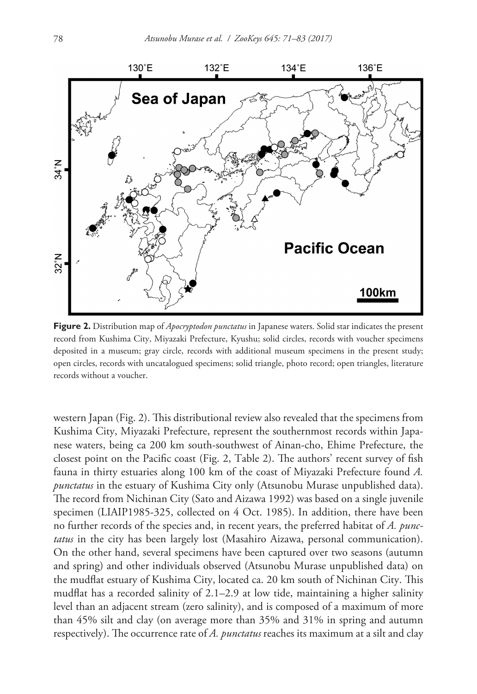

**Figure 2.** Distribution map of *Apocryptodon punctatus* in Japanese waters. Solid star indicates the present record from Kushima City, Miyazaki Prefecture, Kyushu; solid circles, records with voucher specimens deposited in a museum; gray circle, records with additional museum specimens in the present study; open circles, records with uncatalogued specimens; solid triangle, photo record; open triangles, literature records without a voucher.

western Japan (Fig. 2). This distributional review also revealed that the specimens from Kushima City, Miyazaki Prefecture, represent the southernmost records within Japanese waters, being ca 200 km south-southwest of Ainan-cho, Ehime Prefecture, the closest point on the Pacific coast (Fig. 2, Table 2). The authors' recent survey of fish fauna in thirty estuaries along 100 km of the coast of Miyazaki Prefecture found *A. punctatus* in the estuary of Kushima City only (Atsunobu Murase unpublished data). The record from Nichinan City (Sato and Aizawa 1992) was based on a single juvenile specimen (LIAIP1985-325, collected on 4 Oct. 1985). In addition, there have been no further records of the species and, in recent years, the preferred habitat of *A. punctatus* in the city has been largely lost (Masahiro Aizawa, personal communication). On the other hand, several specimens have been captured over two seasons (autumn and spring) and other individuals observed (Atsunobu Murase unpublished data) on the mudflat estuary of Kushima City, located ca. 20 km south of Nichinan City. This mudflat has a recorded salinity of 2.1–2.9 at low tide, maintaining a higher salinity level than an adjacent stream (zero salinity), and is composed of a maximum of more than 45% silt and clay (on average more than 35% and 31% in spring and autumn respectively). The occurrence rate of *A. punctatus* reaches its maximum at a silt and clay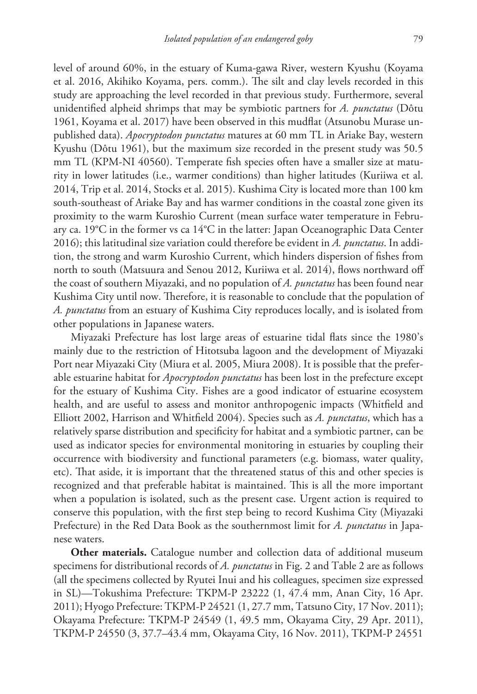level of around 60%, in the estuary of Kuma-gawa River, western Kyushu (Koyama et al. 2016, Akihiko Koyama, pers. comm.). The silt and clay levels recorded in this study are approaching the level recorded in that previous study. Furthermore, several unidentified alpheid shrimps that may be symbiotic partners for *A. punctatus* (Dôtu 1961, Koyama et al. 2017) have been observed in this mudflat (Atsunobu Murase unpublished data). *Apocryptodon punctatus* matures at 60 mm TL in Ariake Bay, western Kyushu (Dôtu 1961), but the maximum size recorded in the present study was 50.5 mm TL (KPM-NI 40560). Temperate fish species often have a smaller size at maturity in lower latitudes (i.e., warmer conditions) than higher latitudes (Kuriiwa et al. 2014, Trip et al. 2014, Stocks et al. 2015). Kushima City is located more than 100 km south-southeast of Ariake Bay and has warmer conditions in the coastal zone given its proximity to the warm Kuroshio Current (mean surface water temperature in February ca. 19°C in the former vs ca 14°C in the latter: Japan Oceanographic Data Center 2016); this latitudinal size variation could therefore be evident in *A. punctatus*. In addition, the strong and warm Kuroshio Current, which hinders dispersion of fishes from north to south (Matsuura and Senou 2012, Kuriiwa et al. 2014), flows northward off the coast of southern Miyazaki, and no population of *A. punctatus* has been found near Kushima City until now. Therefore, it is reasonable to conclude that the population of *A. punctatus* from an estuary of Kushima City reproduces locally, and is isolated from other populations in Japanese waters.

Miyazaki Prefecture has lost large areas of estuarine tidal flats since the 1980's mainly due to the restriction of Hitotsuba lagoon and the development of Miyazaki Port near Miyazaki City (Miura et al. 2005, Miura 2008). It is possible that the preferable estuarine habitat for *Apocryptodon punctatus* has been lost in the prefecture except for the estuary of Kushima City. Fishes are a good indicator of estuarine ecosystem health, and are useful to assess and monitor anthropogenic impacts (Whitfield and Elliott 2002, Harrison and Whitfield 2004). Species such as *A. punctatus*, which has a relatively sparse distribution and specificity for habitat and a symbiotic partner, can be used as indicator species for environmental monitoring in estuaries by coupling their occurrence with biodiversity and functional parameters (e.g. biomass, water quality, etc). That aside, it is important that the threatened status of this and other species is recognized and that preferable habitat is maintained. This is all the more important when a population is isolated, such as the present case. Urgent action is required to conserve this population, with the first step being to record Kushima City (Miyazaki Prefecture) in the Red Data Book as the southernmost limit for *A. punctatus* in Japanese waters.

**Other materials.** Catalogue number and collection data of additional museum specimens for distributional records of *A. punctatus* in Fig. 2 and Table 2 are as follows (all the specimens collected by Ryutei Inui and his colleagues, specimen size expressed in SL)—Tokushima Prefecture: TKPM-P 23222 (1, 47.4 mm, Anan City, 16 Apr. 2011); Hyogo Prefecture: TKPM-P 24521 (1, 27.7 mm, Tatsuno City, 17 Nov. 2011); Okayama Prefecture: TKPM-P 24549 (1, 49.5 mm, Okayama City, 29 Apr. 2011), TKPM-P 24550 (3, 37.7–43.4 mm, Okayama City, 16 Nov. 2011), TKPM-P 24551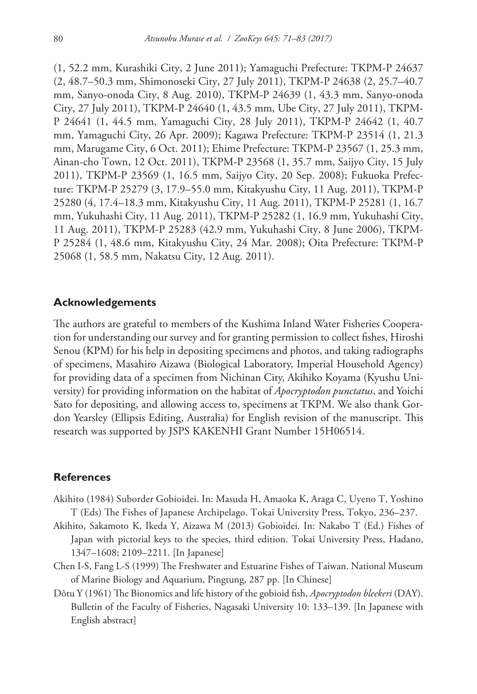(1, 52.2 mm, Kurashiki City, 2 June 2011); Yamaguchi Prefecture: TKPM-P 24637 (2, 48.7–50.3 mm, Shimonoseki City, 27 July 2011), TKPM-P 24638 (2, 25.7–40.7 mm, Sanyo-onoda City, 8 Aug. 2010), TKPM-P 24639 (1, 43.3 mm, Sanyo-onoda City, 27 July 2011), TKPM-P 24640 (1, 43.5 mm, Ube City, 27 July 2011), TKPM-P 24641 (1, 44.5 mm, Yamaguchi City, 28 July 2011), TKPM-P 24642 (1, 40.7 mm, Yamaguchi City, 26 Apr. 2009); Kagawa Prefecture: TKPM-P 23514 (1, 21.3 mm, Marugame City, 6 Oct. 2011); Ehime Prefecture: TKPM-P 23567 (1, 25.3 mm, Ainan-cho Town, 12 Oct. 2011), TKPM-P 23568 (1, 35.7 mm, Saijyo City, 15 July 2011), TKPM-P 23569 (1, 16.5 mm, Saijyo City, 20 Sep. 2008); Fukuoka Prefecture: TKPM-P 25279 (3, 17.9–55.0 mm, Kitakyushu City, 11 Aug. 2011), TKPM-P 25280 (4, 17.4–18.3 mm, Kitakyushu City, 11 Aug. 2011), TKPM-P 25281 (1, 16.7 mm, Yukuhashi City, 11 Aug. 2011), TKPM-P 25282 (1, 16.9 mm, Yukuhashi City, 11 Aug. 2011), TKPM-P 25283 (42.9 mm, Yukuhashi City, 8 June 2006), TKPM-P 25284 (1, 48.6 mm, Kitakyushu City, 24 Mar. 2008); Oita Prefecture: TKPM-P 25068 (1, 58.5 mm, Nakatsu City, 12 Aug. 2011).

## **Acknowledgements**

The authors are grateful to members of the Kushima Inland Water Fisheries Cooperation for understanding our survey and for granting permission to collect fishes, Hiroshi Senou (KPM) for his help in depositing specimens and photos, and taking radiographs of specimens, Masahiro Aizawa (Biological Laboratory, Imperial Household Agency) for providing data of a specimen from Nichinan City, Akihiko Koyama (Kyushu University) for providing information on the habitat of *Apocryptodon punctatus*, and Yoichi Sato for depositing, and allowing access to, specimens at TKPM. We also thank Gordon Yearsley (Ellipsis Editing, Australia) for English revision of the manuscript. This research was supported by JSPS KAKENHI Grant Number 15H06514.

#### **References**

- Akihito (1984) Suborder Gobioidei. In: Masuda H, Amaoka K, Araga C, Uyeno T, Yoshino T (Eds) The Fishes of Japanese Archipelago. Tokai University Press, Tokyo, 236–237.
- Akihito, Sakamoto K, Ikeda Y, Aizawa M (2013) Gobioidei. In: Nakabo T (Ed.) Fishes of Japan with pictorial keys to the species, third edition. Tokai University Press, Hadano, 1347–1608; 2109–2211. [In Japanese]
- Chen I-S, Fang L-S (1999) The Freshwater and Estuarine Fishes of Taiwan. National Museum of Marine Biology and Aquarium, Pingtung, 287 pp. [In Chinese]
- Dôtu Y (1961) The Bionomics and life history of the gobioid fish, *Apocryptodon bleekeri* (DAY). Bulletin of the Faculty of Fisheries, Nagasaki University 10: 133–139. [In Japanese with English abstract]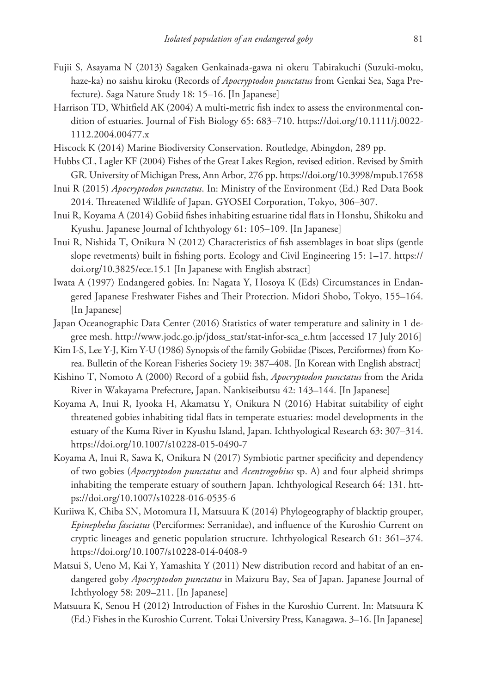- Fujii S, Asayama N (2013) Sagaken Genkainada-gawa ni okeru Tabirakuchi (Suzuki-moku, haze-ka) no saishu kiroku (Records of *Apocryptodon punctatus* from Genkai Sea, Saga Prefecture). Saga Nature Study 18: 15–16. [In Japanese]
- Harrison TD, Whitfield AK (2004) A multi-metric fish index to assess the environmental condition of estuaries. Journal of Fish Biology 65: 683–710. [https://doi.org/10.1111/j.0022-](https://doi.org/10.1111/j.0022-1112.2004.00477.x) [1112.2004.00477.x](https://doi.org/10.1111/j.0022-1112.2004.00477.x)
- Hiscock K (2014) Marine Biodiversity Conservation. Routledge, Abingdon, 289 pp.
- Hubbs CL, Lagler KF (2004) Fishes of the Great Lakes Region, revised edition. Revised by Smith GR. University of Michigan Press, Ann Arbor, 276 pp.<https://doi.org/10.3998/mpub.17658>
- Inui R (2015) *Apocryptodon punctatus*. In: Ministry of the Environment (Ed.) Red Data Book 2014. Threatened Wildlife of Japan. GYOSEI Corporation, Tokyo, 306–307.
- Inui R, Koyama A (2014) Gobiid fishes inhabiting estuarine tidal flats in Honshu, Shikoku and Kyushu. Japanese Journal of Ichthyology 61: 105–109. [In Japanese]
- Inui R, Nishida T, Onikura N (2012) Characteristics of fish assemblages in boat slips (gentle slope revetments) built in fishing ports. Ecology and Civil Engineering 15: 1–17. [https://](https://doi.org/10.3825/ece.15.1) [doi.org/10.3825/ece.15.1](https://doi.org/10.3825/ece.15.1) [In Japanese with English abstract]
- Iwata A (1997) Endangered gobies. In: Nagata Y, Hosoya K (Eds) Circumstances in Endangered Japanese Freshwater Fishes and Their Protection. Midori Shobo, Tokyo, 155–164. [In Japanese]
- Japan Oceanographic Data Center (2016) Statistics of water temperature and salinity in 1 degree mesh. [http://www.jodc.go.jp/jdoss\\_stat/stat-infor-sca\\_e.htm](http://www.jodc.go.jp/jdoss_stat/stat-infor-sca_e.htm) [accessed 17 July 2016]
- Kim I-S, Lee Y-J, Kim Y-U (1986) Synopsis of the family Gobiidae (Pisces, Perciformes) from Korea. Bulletin of the Korean Fisheries Society 19: 387–408. [In Korean with English abstract]
- Kishino T, Nomoto A (2000) Record of a gobiid fish, *Apocryptodon punctatus* from the Arida River in Wakayama Prefecture, Japan. Nankiseibutsu 42: 143–144. [In Japanese]
- Koyama A, Inui R, Iyooka H, Akamatsu Y, Onikura N (2016) Habitat suitability of eight threatened gobies inhabiting tidal flats in temperate estuaries: model developments in the estuary of the Kuma River in Kyushu Island, Japan. Ichthyological Research 63: 307–314. <https://doi.org/10.1007/s10228-015-0490-7>
- Koyama A, Inui R, Sawa K, Onikura N (2017) Symbiotic partner specificity and dependency of two gobies (*Apocryptodon punctatus* and *Acentrogobius* sp. A) and four alpheid shrimps inhabiting the temperate estuary of southern Japan. Ichthyological Research 64: 131. [htt](https://doi.org/10.1007/s10228-016-0535-6)[ps://doi.org/10.1007/s10228-016-0535-6](https://doi.org/10.1007/s10228-016-0535-6)
- Kuriiwa K, Chiba SN, Motomura H, Matsuura K (2014) Phylogeography of blacktip grouper, *Epinephelus fasciatus* (Perciformes: Serranidae), and influence of the Kuroshio Current on cryptic lineages and genetic population structure. Ichthyological Research 61: 361–374. <https://doi.org/10.1007/s10228-014-0408-9>
- Matsui S, Ueno M, Kai Y, Yamashita Y (2011) New distribution record and habitat of an endangered goby *Apocryptodon punctatus* in Maizuru Bay, Sea of Japan. Japanese Journal of Ichthyology 58: 209–211. [In Japanese]
- Matsuura K, Senou H (2012) Introduction of Fishes in the Kuroshio Current. In: Matsuura K (Ed.) Fishes in the Kuroshio Current. Tokai University Press, Kanagawa, 3–16. [In Japanese]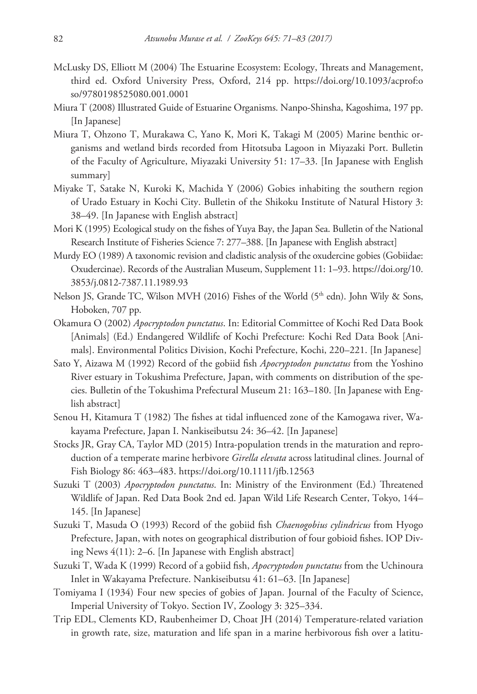- McLusky DS, Elliott M (2004) The Estuarine Ecosystem: Ecology, Threats and Management, third ed. Oxford University Press, Oxford, 214 pp. [https://doi.org/10.1093/acprof:o](https://doi.org/10.1093/acprof:oso/9780198525080.001.0001) [so/9780198525080.001.0001](https://doi.org/10.1093/acprof:oso/9780198525080.001.0001)
- Miura T (2008) Illustrated Guide of Estuarine Organisms. Nanpo-Shinsha, Kagoshima, 197 pp. [In Japanese]
- Miura T, Ohzono T, Murakawa C, Yano K, Mori K, Takagi M (2005) Marine benthic organisms and wetland birds recorded from Hitotsuba Lagoon in Miyazaki Port. Bulletin of the Faculty of Agriculture, Miyazaki University 51: 17–33. [In Japanese with English summary]
- Miyake T, Satake N, Kuroki K, Machida Y (2006) Gobies inhabiting the southern region of Urado Estuary in Kochi City. Bulletin of the Shikoku Institute of Natural History 3: 38–49. [In Japanese with English abstract]
- Mori K (1995) Ecological study on the fishes of Yuya Bay, the Japan Sea. Bulletin of the National Research Institute of Fisheries Science 7: 277–388. [In Japanese with English abstract]
- Murdy EO (1989) A taxonomic revision and cladistic analysis of the oxudercine gobies (Gobiidae: Oxudercinae). Records of the Australian Museum, Supplement 11: 1–93. [https://doi.org/10.](https://doi.org/10.3853/j.0812-7387.11.1989.93) [3853/j.0812-7387.11.1989.93](https://doi.org/10.3853/j.0812-7387.11.1989.93)
- Nelson JS, Grande TC, Wilson MVH (2016) Fishes of the World  $(5<sup>th</sup>$  edn). John Wily & Sons, Hoboken, 707 pp.
- Okamura O (2002) *Apocryptodon punctatus*. In: Editorial Committee of Kochi Red Data Book [Animals] (Ed.) Endangered Wildlife of Kochi Prefecture: Kochi Red Data Book [Animals]. Environmental Politics Division, Kochi Prefecture, Kochi, 220–221. [In Japanese]
- Sato Y, Aizawa M (1992) Record of the gobiid fish *Apocryptodon punctatus* from the Yoshino River estuary in Tokushima Prefecture, Japan, with comments on distribution of the species. Bulletin of the Tokushima Prefectural Museum 21: 163–180. [In Japanese with English abstract]
- Senou H, Kitamura T (1982) The fishes at tidal influenced zone of the Kamogawa river, Wakayama Prefecture, Japan I. Nankiseibutsu 24: 36–42. [In Japanese]
- Stocks JR, Gray CA, Taylor MD (2015) Intra-population trends in the maturation and reproduction of a temperate marine herbivore *Girella elevata* across latitudinal clines. Journal of Fish Biology 86: 463–483.<https://doi.org/10.1111/jfb.12563>
- Suzuki T (2003) *Apocryptodon punctatus*. In: Ministry of the Environment (Ed.) Threatened Wildlife of Japan. Red Data Book 2nd ed. Japan Wild Life Research Center, Tokyo, 144– 145. [In Japanese]
- Suzuki T, Masuda O (1993) Record of the gobiid fish *Chaenogobius cylindricus* from Hyogo Prefecture, Japan, with notes on geographical distribution of four gobioid fishes. IOP Diving News 4(11): 2–6. [In Japanese with English abstract]
- Suzuki T, Wada K (1999) Record of a gobiid fish, *Apocryptodon punctatus* from the Uchinoura Inlet in Wakayama Prefecture. Nankiseibutsu 41: 61–63. [In Japanese]
- Tomiyama I (1934) Four new species of gobies of Japan. Journal of the Faculty of Science, Imperial University of Tokyo. Section IV, Zoology 3: 325–334.
- Trip EDL, Clements KD, Raubenheimer D, Choat JH (2014) Temperature-related variation in growth rate, size, maturation and life span in a marine herbivorous fish over a latitu-